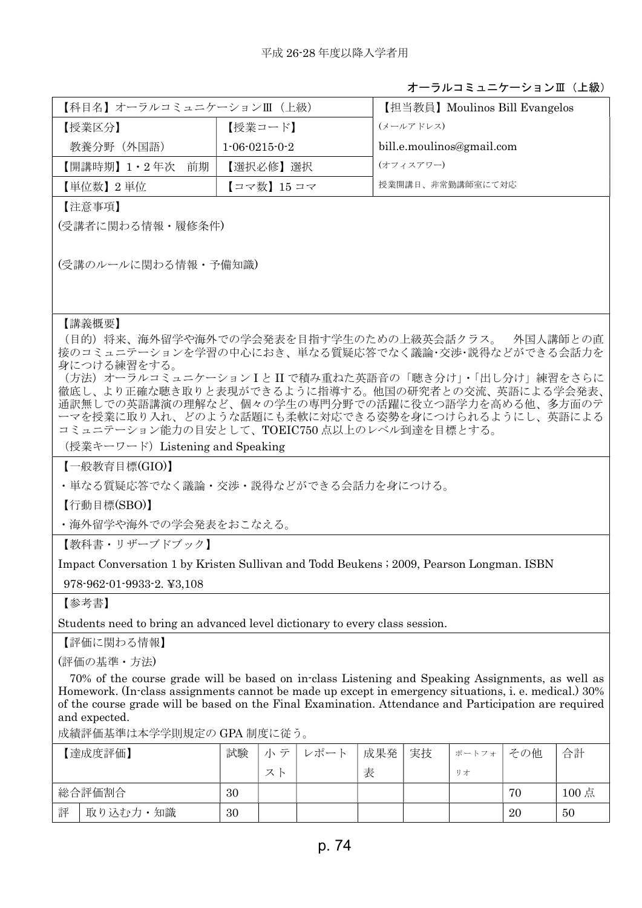## オーラルコミュニケーションⅢ(上級)

| 【科目名】オーラルコミュニケーションⅢ(上級) |                         | 【担当教員】Moulinos Bill Evangelos |  |  |  |
|-------------------------|-------------------------|-------------------------------|--|--|--|
| 【授業区分】                  | 【授業コード】                 | (メールアドレス)                     |  |  |  |
| 教養分野 (外国語)              | $1 - 06 - 0215 - 0 - 2$ | bill.e.moulinos@gmail.com     |  |  |  |
| 【開講時期】1・2年次 前期          | 【選択必修】選択                | (オフィスアワー)                     |  |  |  |
| 【単位数】2単位                | 【コマ数】15 コマ              | 授業開講日、非常勤講師室にて対応              |  |  |  |

【注意事項】

(受講者に関わる情報・履修条件)

(受講のルールに関わる情報・予備知識)

## 【講義概要】

(目的)将来、海外留学や海外での学会発表を目指す学生のための上級英会話クラス。 外国人講師との直 接のコミュニテーションを学習の中心におき、単なる質疑応答でなく議論・交渉・説得などができる会話力を 身につける練習をする。

(方法)オーラルコミュニケーション I と II で積み重ねた英語音の「聴き分け」・「出し分け」練習をさらに 徹底し、より正確な聴き取りと表現ができるように指導する。他国の研究者との交流、英語による学会発表、 通訳無しでの英語講演の理解など、個々の学生の専門分野での活躍に役立つ語学力を高める他、多方面のテ ーマを授業に取り入れ、どのような話題にも柔軟に対応できる姿勢を身につけられるようにし、英語による コミュニテーション能力の目安として、TOEIC750 点以上のレベル到達を目標とする。

(授業キーワード) Listening and Speaking

【一般教育目標(GIO)】

・単なる質疑応答でなく議論・交渉・説得などができる会話力を身につける。

【行動目標(SBO)】

・海外留学や海外での学会発表をおこなえる。

【教科書・リザーブドブック】

Impact Conversation 1 by Kristen Sullivan and Todd Beukens ; 2009, Pearson Longman. ISBN

978-962-01-9933-2. ¥3,108

【参考書】

Students need to bring an advanced level dictionary to every class session.

【評価に関わる情報】

(評価の基準・方法)

70% of the course grade will be based on in-class Listening and Speaking Assignments, as well as Homework. (In-class assignments cannot be made up except in emergency situations, i. e. medical.) 30% of the course grade will be based on the Final Examination. Attendance and Participation are required and expected.

成績評価基準は本学学則規定の GPA 制度に従う。

|        | 【達成度評価】  | 試験 | $\overline{\phantom{0}}$<br>÷ | ンポー` | 成果発 | 実技 | ポートフォ | その他 | 合計    |
|--------|----------|----|-------------------------------|------|-----|----|-------|-----|-------|
|        |          |    | 乛                             |      | 表   |    | リオ    |     |       |
| 総合評価割合 |          | 30 |                               |      |     |    |       | 70  | 100 点 |
| 評      | 取り込む力・知識 | 30 |                               |      |     |    |       | 20  | 50    |